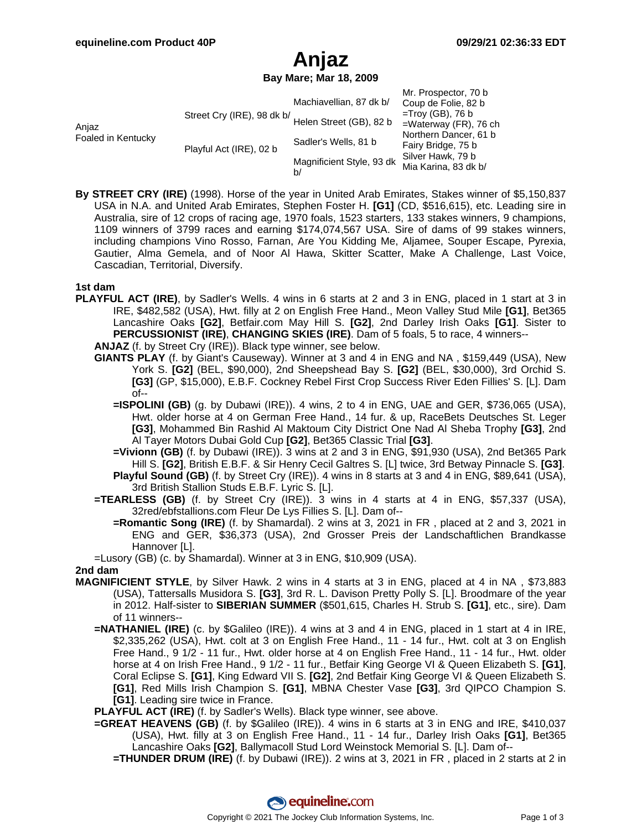# **Anjaz**

**Bay Mare; Mar 18, 2009**

| Anjaz<br>Foaled in Kentucky | Street Cry (IRE), 98 dk b/<br>Playful Act (IRE), 02 b | Machiavellian, 87 dk b/<br>Helen Street (GB), 82 b<br>Sadler's Wells, 81 b | Mr. Prospector, 70 b<br>Coup de Folie, 82 b<br>$=$ Troy (GB), 76 b<br>=Waterway (FR), 76 ch<br>Northern Dancer, 61 b<br>Fairy Bridge, 75 b |
|-----------------------------|-------------------------------------------------------|----------------------------------------------------------------------------|--------------------------------------------------------------------------------------------------------------------------------------------|
|                             |                                                       | Magnificient Style, 93 dk<br>b/                                            | Silver Hawk, 79 b<br>Mia Karina, 83 dk b/                                                                                                  |

**By STREET CRY (IRE)** (1998). Horse of the year in United Arab Emirates, Stakes winner of \$5,150,837 USA in N.A. and United Arab Emirates, Stephen Foster H. **[G1]** (CD, \$516,615), etc. Leading sire in Australia, sire of 12 crops of racing age, 1970 foals, 1523 starters, 133 stakes winners, 9 champions, 1109 winners of 3799 races and earning \$174,074,567 USA. Sire of dams of 99 stakes winners, including champions Vino Rosso, Farnan, Are You Kidding Me, Aljamee, Souper Escape, Pyrexia, Gautier, Alma Gemela, and of Noor Al Hawa, Skitter Scatter, Make A Challenge, Last Voice, Cascadian, Territorial, Diversify.

### **1st dam**

- **PLAYFUL ACT (IRE)**, by Sadler's Wells. 4 wins in 6 starts at 2 and 3 in ENG, placed in 1 start at 3 in IRE, \$482,582 (USA), Hwt. filly at 2 on English Free Hand., Meon Valley Stud Mile **[G1]**, Bet365 Lancashire Oaks **[G2]**, Betfair.com May Hill S. **[G2]**, 2nd Darley Irish Oaks **[G1]**. Sister to **PERCUSSIONIST (IRE)**, **CHANGING SKIES (IRE)**. Dam of 5 foals, 5 to race, 4 winners--
	- **ANJAZ** (f. by Street Cry (IRE)). Black type winner, see below.
	- **GIANTS PLAY** (f. by Giant's Causeway). Winner at 3 and 4 in ENG and NA , \$159,449 (USA), New York S. **[G2]** (BEL, \$90,000), 2nd Sheepshead Bay S. **[G2]** (BEL, \$30,000), 3rd Orchid S. **[G3]** (GP, \$15,000), E.B.F. Cockney Rebel First Crop Success River Eden Fillies' S. [L]. Dam of--
		- **=ISPOLINI (GB)** (g. by Dubawi (IRE)). 4 wins, 2 to 4 in ENG, UAE and GER, \$736,065 (USA), Hwt. older horse at 4 on German Free Hand., 14 fur. & up, RaceBets Deutsches St. Leger **[G3]**, Mohammed Bin Rashid Al Maktoum City District One Nad Al Sheba Trophy **[G3]**, 2nd Al Tayer Motors Dubai Gold Cup **[G2]**, Bet365 Classic Trial **[G3]**.
		- **=Vivionn (GB)** (f. by Dubawi (IRE)). 3 wins at 2 and 3 in ENG, \$91,930 (USA), 2nd Bet365 Park Hill S. **[G2]**, British E.B.F. & Sir Henry Cecil Galtres S. [L] twice, 3rd Betway Pinnacle S. **[G3]**. **Playful Sound (GB)** (f. by Street Cry (IRE)). 4 wins in 8 starts at 3 and 4 in ENG, \$89,641 (USA),
			- 3rd British Stallion Studs E.B.F. Lyric S. [L].
	- **=TEARLESS (GB)** (f. by Street Cry (IRE)). 3 wins in 4 starts at 4 in ENG, \$57,337 (USA), 32red/ebfstallions.com Fleur De Lys Fillies S. [L]. Dam of--
		- **=Romantic Song (IRE)** (f. by Shamardal). 2 wins at 3, 2021 in FR , placed at 2 and 3, 2021 in ENG and GER, \$36,373 (USA), 2nd Grosser Preis der Landschaftlichen Brandkasse Hannover [L].
	- =Lusory (GB) (c. by Shamardal). Winner at 3 in ENG, \$10,909 (USA).

#### **2nd dam**

- **MAGNIFICIENT STYLE**, by Silver Hawk. 2 wins in 4 starts at 3 in ENG, placed at 4 in NA , \$73,883 (USA), Tattersalls Musidora S. **[G3]**, 3rd R. L. Davison Pretty Polly S. [L]. Broodmare of the year in 2012. Half-sister to **SIBERIAN SUMMER** (\$501,615, Charles H. Strub S. **[G1]**, etc., sire). Dam of 11 winners--
	- **=NATHANIEL (IRE)** (c. by \$Galileo (IRE)). 4 wins at 3 and 4 in ENG, placed in 1 start at 4 in IRE, \$2,335,262 (USA), Hwt. colt at 3 on English Free Hand., 11 - 14 fur., Hwt. colt at 3 on English Free Hand., 9 1/2 - 11 fur., Hwt. older horse at 4 on English Free Hand., 11 - 14 fur., Hwt. older horse at 4 on Irish Free Hand., 9 1/2 - 11 fur., Betfair King George VI & Queen Elizabeth S. **[G1]**, Coral Eclipse S. **[G1]**, King Edward VII S. **[G2]**, 2nd Betfair King George VI & Queen Elizabeth S. **[G1]**, Red Mills Irish Champion S. **[G1]**, MBNA Chester Vase **[G3]**, 3rd QIPCO Champion S. **[G1]**. Leading sire twice in France.

**PLAYFUL ACT (IRE)** (f. by Sadler's Wells). Black type winner, see above.

- **=GREAT HEAVENS (GB)** (f. by \$Galileo (IRE)). 4 wins in 6 starts at 3 in ENG and IRE, \$410,037 (USA), Hwt. filly at 3 on English Free Hand., 11 - 14 fur., Darley Irish Oaks **[G1]**, Bet365 Lancashire Oaks **[G2]**, Ballymacoll Stud Lord Weinstock Memorial S. [L]. Dam of--
	- **=THUNDER DRUM (IRE)** (f. by Dubawi (IRE)). 2 wins at 3, 2021 in FR , placed in 2 starts at 2 in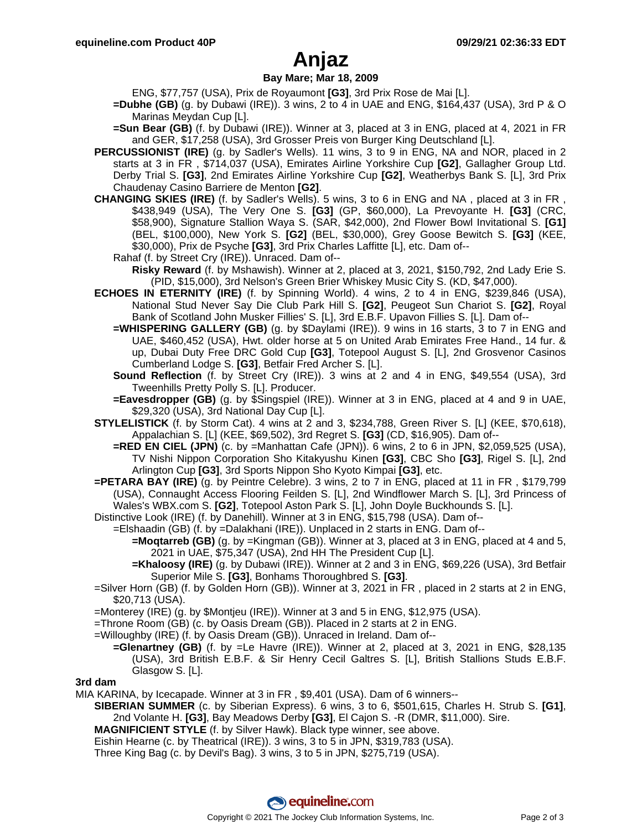### **Anjaz**

### **Bay Mare; Mar 18, 2009**

ENG, \$77,757 (USA), Prix de Royaumont **[G3]**, 3rd Prix Rose de Mai [L].

- **=Dubhe (GB)** (g. by Dubawi (IRE)). 3 wins, 2 to 4 in UAE and ENG, \$164,437 (USA), 3rd P & O Marinas Meydan Cup [L].
- **=Sun Bear (GB)** (f. by Dubawi (IRE)). Winner at 3, placed at 3 in ENG, placed at 4, 2021 in FR and GER, \$17,258 (USA), 3rd Grosser Preis von Burger King Deutschland [L].
- **PERCUSSIONIST (IRE)** (g. by Sadler's Wells). 11 wins, 3 to 9 in ENG, NA and NOR, placed in 2 starts at 3 in FR , \$714,037 (USA), Emirates Airline Yorkshire Cup **[G2]**, Gallagher Group Ltd. Derby Trial S. **[G3]**, 2nd Emirates Airline Yorkshire Cup **[G2]**, Weatherbys Bank S. [L], 3rd Prix Chaudenay Casino Barriere de Menton **[G2]**.
- **CHANGING SKIES (IRE)** (f. by Sadler's Wells). 5 wins, 3 to 6 in ENG and NA , placed at 3 in FR , \$438,949 (USA), The Very One S. **[G3]** (GP, \$60,000), La Prevoyante H. **[G3]** (CRC, \$58,900), Signature Stallion Waya S. (SAR, \$42,000), 2nd Flower Bowl Invitational S. **[G1]** (BEL, \$100,000), New York S. **[G2]** (BEL, \$30,000), Grey Goose Bewitch S. **[G3]** (KEE, \$30,000), Prix de Psyche **[G3]**, 3rd Prix Charles Laffitte [L], etc. Dam of--
	- Rahaf (f. by Street Cry (IRE)). Unraced. Dam of--
		- **Risky Reward** (f. by Mshawish). Winner at 2, placed at 3, 2021, \$150,792, 2nd Lady Erie S. (PID, \$15,000), 3rd Nelson's Green Brier Whiskey Music City S. (KD, \$47,000).
- **ECHOES IN ETERNITY (IRE)** (f. by Spinning World). 4 wins, 2 to 4 in ENG, \$239,846 (USA), National Stud Never Say Die Club Park Hill S. **[G2]**, Peugeot Sun Chariot S. **[G2]**, Royal Bank of Scotland John Musker Fillies' S. [L], 3rd E.B.F. Upavon Fillies S. [L]. Dam of--
	- **=WHISPERING GALLERY (GB)** (g. by \$Daylami (IRE)). 9 wins in 16 starts, 3 to 7 in ENG and UAE, \$460,452 (USA), Hwt. older horse at 5 on United Arab Emirates Free Hand., 14 fur. & up, Dubai Duty Free DRC Gold Cup **[G3]**, Totepool August S. [L], 2nd Grosvenor Casinos Cumberland Lodge S. **[G3]**, Betfair Fred Archer S. [L].
	- **Sound Reflection** (f. by Street Cry (IRE)). 3 wins at 2 and 4 in ENG, \$49,554 (USA), 3rd Tweenhills Pretty Polly S. [L]. Producer.
	- **=Eavesdropper (GB)** (g. by \$Singspiel (IRE)). Winner at 3 in ENG, placed at 4 and 9 in UAE, \$29,320 (USA), 3rd National Day Cup [L].
- **STYLELISTICK** (f. by Storm Cat). 4 wins at 2 and 3, \$234,788, Green River S. [L] (KEE, \$70,618), Appalachian S. [L] (KEE, \$69,502), 3rd Regret S. **[G3]** (CD, \$16,905). Dam of--
	- **=RED EN CIEL (JPN)** (c. by =Manhattan Cafe (JPN)). 6 wins, 2 to 6 in JPN, \$2,059,525 (USA), TV Nishi Nippon Corporation Sho Kitakyushu Kinen **[G3]**, CBC Sho **[G3]**, Rigel S. [L], 2nd Arlington Cup **[G3]**, 3rd Sports Nippon Sho Kyoto Kimpai **[G3]**, etc.
- **=PETARA BAY (IRE)** (g. by Peintre Celebre). 3 wins, 2 to 7 in ENG, placed at 11 in FR , \$179,799 (USA), Connaught Access Flooring Feilden S. [L], 2nd Windflower March S. [L], 3rd Princess of Wales's WBX.com S. **[G2]**, Totepool Aston Park S. [L], John Doyle Buckhounds S. [L].
- Distinctive Look (IRE) (f. by Danehill). Winner at 3 in ENG, \$15,798 (USA). Dam of--
	- =Elshaadin (GB) (f. by =Dalakhani (IRE)). Unplaced in 2 starts in ENG. Dam of--
		- **=Moqtarreb (GB)** (g. by =Kingman (GB)). Winner at 3, placed at 3 in ENG, placed at 4 and 5, 2021 in UAE, \$75,347 (USA), 2nd HH The President Cup [L].
		- **=Khaloosy (IRE)** (g. by Dubawi (IRE)). Winner at 2 and 3 in ENG, \$69,226 (USA), 3rd Betfair Superior Mile S. **[G3]**, Bonhams Thoroughbred S. **[G3]**.
- =Silver Horn (GB) (f. by Golden Horn (GB)). Winner at 3, 2021 in FR , placed in 2 starts at 2 in ENG, \$20,713 (USA).
- =Monterey (IRE) (g. by \$Montjeu (IRE)). Winner at 3 and 5 in ENG, \$12,975 (USA).
- =Throne Room (GB) (c. by Oasis Dream (GB)). Placed in 2 starts at 2 in ENG.
- =Willoughby (IRE) (f. by Oasis Dream (GB)). Unraced in Ireland. Dam of--
	- **=Glenartney (GB)** (f. by =Le Havre (IRE)). Winner at 2, placed at 3, 2021 in ENG, \$28,135 (USA), 3rd British E.B.F. & Sir Henry Cecil Galtres S. [L], British Stallions Studs E.B.F. Glasgow S. [L].

### **3rd dam**

MIA KARINA, by Icecapade. Winner at 3 in FR , \$9,401 (USA). Dam of 6 winners--

**SIBERIAN SUMMER** (c. by Siberian Express). 6 wins, 3 to 6, \$501,615, Charles H. Strub S. **[G1]**, 2nd Volante H. **[G3]**, Bay Meadows Derby **[G3]**, El Cajon S. -R (DMR, \$11,000). Sire.

**MAGNIFICIENT STYLE** (f. by Silver Hawk). Black type winner, see above.

Eishin Hearne (c. by Theatrical (IRE)). 3 wins, 3 to 5 in JPN, \$319,783 (USA).

Three King Bag (c. by Devil's Bag). 3 wins, 3 to 5 in JPN, \$275,719 (USA).